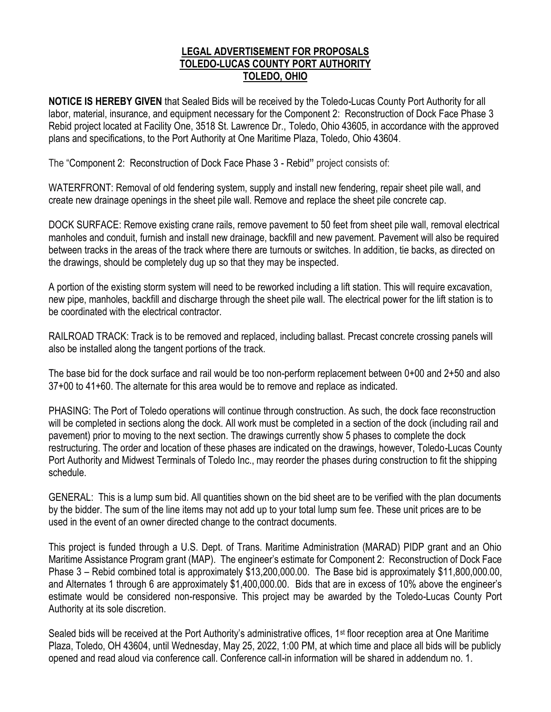## **LEGAL ADVERTISEMENT FOR PROPOSALS TOLEDO-LUCAS COUNTY PORT AUTHORITY TOLEDO, OHIO**

**NOTICE IS HEREBY GIVEN** that Sealed Bids will be received by the Toledo-Lucas County Port Authority for all labor, material, insurance, and equipment necessary for the Component 2: Reconstruction of Dock Face Phase 3 Rebid project located at Facility One, 3518 St. Lawrence Dr., Toledo, Ohio 43605, in accordance with the approved plans and specifications, to the Port Authority at One Maritime Plaza, Toledo, Ohio 43604.

The "Component 2: Reconstruction of Dock Face Phase 3 - Rebid**"** project consists of:

WATERFRONT: Removal of old fendering system, supply and install new fendering, repair sheet pile wall, and create new drainage openings in the sheet pile wall. Remove and replace the sheet pile concrete cap.

DOCK SURFACE: Remove existing crane rails, remove pavement to 50 feet from sheet pile wall, removal electrical manholes and conduit, furnish and install new drainage, backfill and new pavement. Pavement will also be required between tracks in the areas of the track where there are turnouts or switches. In addition, tie backs, as directed on the drawings, should be completely dug up so that they may be inspected.

A portion of the existing storm system will need to be reworked including a lift station. This will require excavation, new pipe, manholes, backfill and discharge through the sheet pile wall. The electrical power for the lift station is to be coordinated with the electrical contractor.

RAILROAD TRACK: Track is to be removed and replaced, including ballast. Precast concrete crossing panels will also be installed along the tangent portions of the track.

The base bid for the dock surface and rail would be too non-perform replacement between 0+00 and 2+50 and also 37+00 to 41+60. The alternate for this area would be to remove and replace as indicated.

PHASING: The Port of Toledo operations will continue through construction. As such, the dock face reconstruction will be completed in sections along the dock. All work must be completed in a section of the dock (including rail and pavement) prior to moving to the next section. The drawings currently show 5 phases to complete the dock restructuring. The order and location of these phases are indicated on the drawings, however, Toledo-Lucas County Port Authority and Midwest Terminals of Toledo Inc., may reorder the phases during construction to fit the shipping schedule.

GENERAL:This is a lump sum bid. All quantities shown on the bid sheet are to be verified with the plan documents by the bidder. The sum of the line items may not add up to your total lump sum fee. These unit prices are to be used in the event of an owner directed change to the contract documents.

This project is funded through a U.S. Dept. of Trans. Maritime Administration (MARAD) PIDP grant and an Ohio Maritime Assistance Program grant (MAP). The engineer's estimate for Component 2: Reconstruction of Dock Face Phase 3 – Rebid combined total is approximately \$13,200,000.00. The Base bid is approximately \$11,800,000.00, and Alternates 1 through 6 are approximately \$1,400,000.00. Bids that are in excess of 10% above the engineer's estimate would be considered non-responsive. This project may be awarded by the Toledo-Lucas County Port Authority at its sole discretion.

Sealed bids will be received at the Port Authority's administrative offices, 1<sup>st</sup> floor reception area at One Maritime Plaza, Toledo, OH 43604, until Wednesday, May 25, 2022, 1:00 PM, at which time and place all bids will be publicly opened and read aloud via conference call. Conference call-in information will be shared in addendum no. 1.